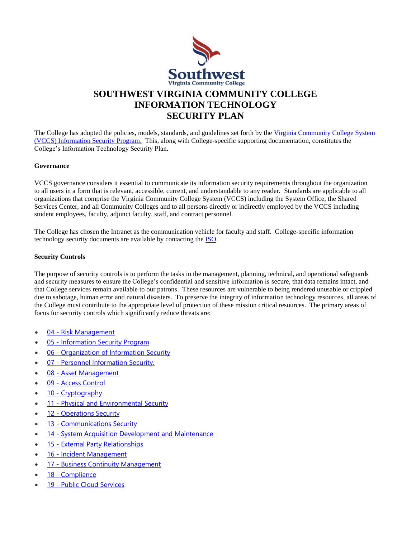

# **SOUTHWEST VIRGINIA COMMUNITY COLLEGE INFORMATION TECHNOLOGY SECURITY PLAN**

The College has adopted the policies, models, standards, and guidelines set forth by the Virginia Community College System [\(VCCS\) Information Security Program.](file://///buzz2.vccs.edu@SSL/DavWWWRoot/teams/src/Standards,%20Guidelines,%20and%20SOPs) This, along with College-specific supporting documentation, constitutes the College's Information Technology Security Plan.

## **Governance**

VCCS governance considers it essential to communicate its information security requirements throughout the organization to all users in a form that is relevant, accessible, current, and understandable to any reader. Standards are applicable to all organizations that comprise the Virginia Community College System (VCCS) including the System Office, the Shared Services Center, and all Community Colleges and to all persons directly or indirectly employed by the VCCS including student employees, faculty, adjunct faculty, staff, and contract personnel.

The College has chosen the Intranet as the communication vehicle for faculty and staff. College-specific information technology security documents are available by contacting the [ISO.](mailto:bbowling@vccs.edu)

# **Security Controls**

The purpose of security controls is to perform the tasks in the management, planning, technical, and operational safeguards and security measures to ensure the College's confidential and sensitive information is secure, that data remains intact, and that College services remain available to our patrons. These resources are vulnerable to being rendered unusable or crippled due to sabotage, human error and natural disasters. To preserve the integrity of information technology resources, all areas of the College must contribute to the appropriate level of protection of these mission critical resources. The primary areas of focus for security controls which significantly reduce threats are:

- 04 [Risk Management](https://buzz2.vccs.edu/teams/src/SitePages/04%20-%20Risk%20Management.aspx)
- 05 [Information Security Program](https://buzz2.vccs.edu/teams/src/SitePages/05%20-%20Information%20Security%20Program.aspx)
- 06 [Organization of Information Security](https://buzz2.vccs.edu/teams/src/SitePages/06%20-%20Organization%20of%20Information%20Security.aspx)
- 07 [Personnel Information Security.](https://buzz2.vccs.edu/teams/src/SitePages/07%20-%20Personnel%20Information%20Security.aspx)
- 08 [Asset Management](https://buzz2.vccs.edu/teams/src/SitePages/08%20-%20Asset%20Management.aspx)
- 09 [Access Control](https://buzz2.vccs.edu/teams/src/SitePages/09%20-%20Access%20Control.aspx)
- 10 [Cryptography](https://buzz2.vccs.edu/teams/src/SitePages/10%20-%20Cryptography.aspx)
- 11 [Physical and Environmental Security](https://buzz2.vccs.edu/teams/src/SitePages/11%20-%20Physical%20and%20Environmental%20Security.aspx)
- 12 [Operations Security](https://buzz2.vccs.edu/teams/src/SitePages/12%20-%20Operations%20Security.aspx)
- 13 [Communications Security](https://buzz2.vccs.edu/teams/src/SitePages/13%20-%20Communications%20Security.aspx)
- 14 [System Acquisition Development and Maintenance](https://buzz2.vccs.edu/teams/src/SitePages/14%20-%20System%20Acquisition%20Development%20and%20Maintenance.aspx)
- 15 [External Party Relationships](https://buzz2.vccs.edu/teams/src/SitePages/15%20-%20External%20Party%20Relationships.aspx)
- 16 [Incident Management](https://buzz2.vccs.edu/teams/src/SitePages/16%20-%20Incident%20Management.aspx)
- 17 [Business Continuity Management](https://buzz2.vccs.edu/teams/src/SitePages/17%20-%20Business%20Continuity%20Management.aspx)
- 18 [Compliance](https://buzz2.vccs.edu/teams/src/SitePages/18%20-%20Compliance.aspx)
- 19 [Public Cloud Services](https://buzz2.vccs.edu/teams/src/SitePages/19%20-%20Public%20Cloud%20Services.aspx)